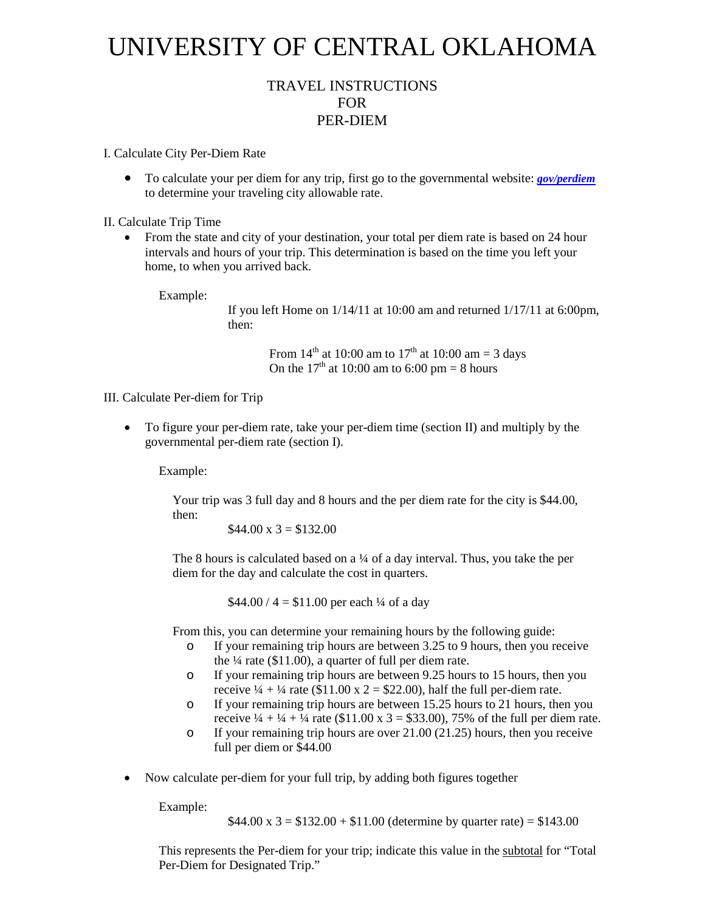## UNIVERSITY OF CENTRAL OKLAHOMA

## TRAVEL INSTRUCTIONS FOR PER-DIEM

I. Calculate City Per-Diem Rate

• To calculate your per diem for any trip, first go to the governmental website: *[gov/perdiem](http://www.gsa.gov/portal/category/21287)* to determine your traveling city allowable rate.

II. Calculate Trip Time

• From the state and city of your destination, your total per diem rate is based on 24 hour intervals and hours of your trip. This determination is based on the time you left your home, to when you arrived back.

Example:

If you left Home on 1/14/11 at 10:00 am and returned 1/17/11 at 6:00pm, then:

> From  $14^{th}$  at 10:00 am to  $17^{th}$  at 10:00 am = 3 days On the  $17<sup>th</sup>$  at 10:00 am to 6:00 pm = 8 hours

III. Calculate Per-diem for Trip

• To figure your per-diem rate, take your per-diem time (section II) and multiply by the governmental per-diem rate (section I).

Example:

Your trip was 3 full day and 8 hours and the per diem rate for the city is \$44.00, then:

 $$44.00 \times 3 = $132.00$ 

The 8 hours is calculated based on a  $\frac{1}{4}$  of a day interval. Thus, you take the per diem for the day and calculate the cost in quarters.

 $$44.00 / 4 = $11.00$  per each ¼ of a day

From this, you can determine your remaining hours by the following guide:

- o If your remaining trip hours are between 3.25 to 9 hours, then you receive the  $\frac{1}{4}$  rate (\$11.00), a quarter of full per diem rate.
- o If your remaining trip hours are between 9.25 hours to 15 hours, then you receive  $\frac{1}{4} + \frac{1}{4}$  rate (\$11.00 x 2 = \$22.00), half the full per-diem rate.
- o If your remaining trip hours are between 15.25 hours to 21 hours, then you receive  $\frac{1}{4} + \frac{1}{4} + \frac{1}{4}$  rate (\$11.00 x 3 = \$33.00), 75% of the full per diem rate.
- o If your remaining trip hours are over 21.00 (21.25) hours, then you receive full per diem or \$44.00
- Now calculate per-diem for your full trip, by adding both figures together

Example:

 $$44.00 \times 3 = $132.00 + $11.00$  (determine by quarter rate) = \$143.00

This represents the Per-diem for your trip; indicate this value in the subtotal for "Total Per-Diem for Designated Trip."